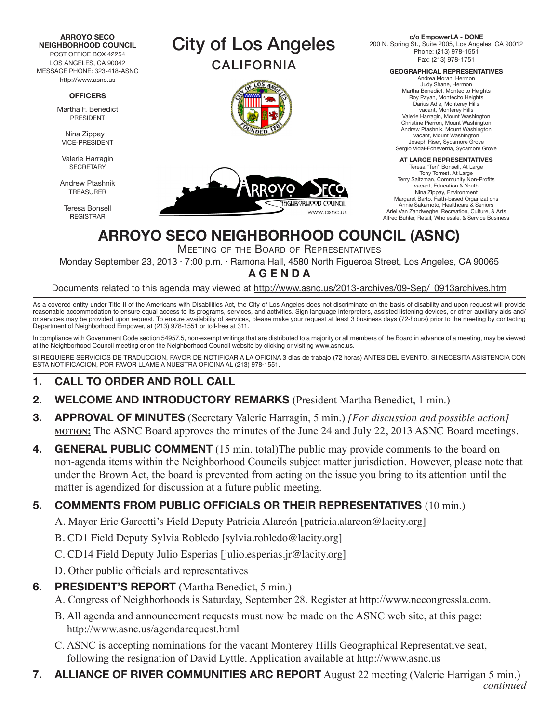**ARROYO SECO NEIGHBORHOOD COUNCIL**

POST OFFICE BOX 42254 LOS ANGELES, CA 90042 MESSAGE PHONE: 323-418-ASNC http://www.asnc.us

#### **OFFICERS**

Martha F. Benedict PRESIDENT

Nina Zippay VICE-PRESIDENT

Valerie Harragin **SECRETARY** 

Andrew Ptashnik TREASURER

Teresa Bonsell REGISTRAR







**c/o EmpowerLA - DONE** 200 N. Spring St., Suite 2005, Los Angeles, CA 90012 Phone: (213) 978-1551 Fax: (213) 978-1751

**GEOGRAPHICAL REPRESENTATIVES**

Andrea Moran, Hermon Judy Shane, Hermon Martha Benedict, Montecito Heights Roy Payan, Montecito Heights Darius Adle, Monterey Hills vacant, Monterey Hills Valerie Harragin, Mount Washington Christine Pierron, Mount Washington Andrew Ptashnik, Mount Washington vacant, Mount Washington Joseph Riser, Sycamore Grove Sergio Vidal-Echeverria, Sycamore Grove

#### **AT LARGE REPRESENTATIVES**

Teresa "Teri" Bonsell, At Large Tony Torrest, At Large Terry Saltzman, Community Non-Profits vacant, Education & Youth Nina Zippay, Environment Margaret Barto, Faith-based Organizations Annie Sakamoto, Healthcare & Seniors Ariel Van Zandweghe, Recreation, Culture, & Arts Alfred Buhler, Retail, Wholesale, & Service Business

# **ARROYO SECO NEIGHBORHOOD COUNCIL (ASNC)**

Meeting of the Board of Representatives

Monday September 23, 2013 · 7:00 p.m. · Ramona Hall, 4580 North Figueroa Street, Los Angeles, CA 90065 **A G E N D A**

Documents related to this agenda may viewed at http://www.asnc.us/2013-archives/09-Sep/\_0913archives.htm

As a covered entity under Title II of the Americans with Disabilities Act, the City of Los Angeles does not discriminate on the basis of disability and upon request will provide reasonable accommodation to ensure equal access to its programs, services, and activities. Sign language interpreters, assisted listening devices, or other auxiliary aids and/ or services may be provided upon request. To ensure availability of services, please make your request at least 3 business days (72-hours) prior to the meeting by contacting Department of Neighborhood Empower, at (213) 978-1551 or toll-free at 311.

In compliance with Government Code section 54957.5, non-exempt writings that are distributed to a majority or all members of the Board in advance of a meeting, may be viewed at the Neighborhood Council meeting or on the Neighborhood Council website by clicking or visiting www.asnc.us.

SI REQUIERE SERVICIOS DE TRADUCCION, FAVOR DE NOTIFICAR A LA OFICINA 3 días de trabajo (72 horas) ANTES DEL EVENTO. SI NECESITA ASISTENCIA CON ESTA NOTIFICACION, POR FAVOR LLAME A NUESTRA OFICINA AL (213) 978-1551.

## **1. CALL TO ORDER AND ROLL CALL**

- **2. WELCOME AND INTRODUCTORY REMARKS** (President Martha Benedict, 1 min.)
- **3. APPROVAL OF MINUTES** (Secretary Valerie Harragin, 5 min.) *[For discussion and possible action]*  **<u>MOTION:</u>** The ASNC Board approves the minutes of the June 24 and July 22, 2013 ASNC Board meetings.
- **4. GENERAL PUBLIC COMMENT** (15 min. total)The public may provide comments to the board on non-agenda items within the Neighborhood Councils subject matter jurisdiction. However, please note that under the Brown Act, the board is prevented from acting on the issue you bring to its attention until the matter is agendized for discussion at a future public meeting.

### **5. COMMENTS FROM PUBLIC OFFICIALS OR THEIR REPRESENTATIVES** (10 min.)

A. Mayor Eric Garcetti's Field Deputy Patricia Alarcón [patricia.alarcon@lacity.org]

- B. CD1 Field Deputy Sylvia Robledo [sylvia.robledo@lacity.org]
- C. CD14 Field Deputy Julio Esperias [julio.esperias.jr@lacity.org]
- D. Other public officials and representatives

### **6. PRESIDENT'S REPORT** (Martha Benedict, 5 min.)

- A. Congress of Neighborhoods is Saturday, September 28. Register at http://www.nccongressla.com.
- B. All agenda and announcement requests must now be made on the ASNC web site, at this page: http://www.asnc.us/agendarequest.html
- C. ASNC is accepting nominations for the vacant Monterey Hills Geographical Representative seat, following the resignation of David Lyttle. Application available at http://www.asnc.us
- **7. ALLIANCE OF RIVER COMMUNITIES ARC REPORT** August 22 meeting (Valerie Harrigan 5 min.) *continued*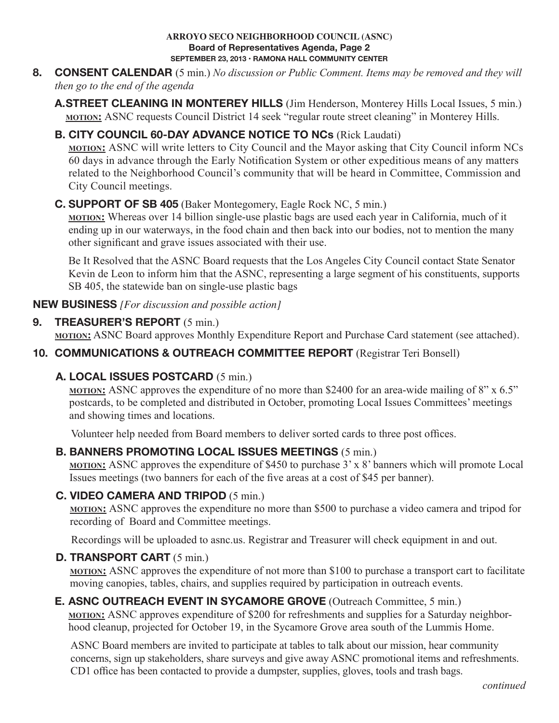#### **ARROYO SECO NEIGHBORHOOD COUNCIL (ASNC) Board of Representatives Agenda, Page 2 SEPTEMBER 23, 2013 • RAMONA HALL COMMUNITY CENTER**

- **8. CONSENT CALENDAR** (5 min.) *No discussion or Public Comment. Items may be removed and they will then go to the end of the agenda*
	- **A. STREET CLEANING IN MONTEREY HILLS** (Jim Henderson, Monterey Hills Local Issues, 5 min.) **MOTION:** ASNC requests Council District 14 seek "regular route street cleaning" in Monterey Hills.

## **B. CITY COUNCIL 60-DAY ADVANCE NOTICE TO NCs** (Rick Laudati)

**motion:** ASNC will write letters to City Council and the Mayor asking that City Council inform NCs 60 days in advance through the Early Notification System or other expeditious means of any matters related to the Neighborhood Council's community that will be heard in Committee, Commission and City Council meetings.

### **C. SUPPORT OF SB 405** (Baker Montegomery, Eagle Rock NC, 5 min.)

**motion:** Whereas over 14 billion single-use plastic bags are used each year in California, much of it ending up in our waterways, in the food chain and then back into our bodies, not to mention the many other significant and grave issues associated with their use.

 Be It Resolved that the ASNC Board requests that the Los Angeles City Council contact State Senator Kevin de Leon to inform him that the ASNC, representing a large segment of his constituents, supports SB 405, the statewide ban on single-use plastic bags

**NEW BUSINESS** *[For discussion and possible action]*

### **9. TREASURER'S REPORT** (5 min.)

**MOTION:** ASNC Board approves Monthly Expenditure Report and Purchase Card statement (see attached).

## **10. COMMUNICATIONS & OUTREACH COMMITTEE REPORT** (Registrar Teri Bonsell)

## **A. LOCAL ISSUES POSTCARD** (5 min.)

**motion:** ASNC approves the expenditure of no more than \$2400 for an area-wide mailing of 8" x 6.5" postcards, to be completed and distributed in October, promoting Local Issues Committees' meetings and showing times and locations.

Volunteer help needed from Board members to deliver sorted cards to three post offices.

## **B. BANNERS PROMOTING LOCAL ISSUES MEETINGS** (5 min.)

**motion:** ASNC approves the expenditure of \$450 to purchase 3' x 8' banners which will promote Local Issues meetings (two banners for each of the five areas at a cost of \$45 per banner).

### **C. VIDEO CAMERA AND TRIPOD** (5 min.)

**motion:** ASNC approves the expenditure no more than \$500 to purchase a video camera and tripod for recording of Board and Committee meetings.

Recordings will be uploaded to asnc.us. Registrar and Treasurer will check equipment in and out.

### **D. TRANSPORT CART** (5 min.)

**motion:** ASNC approves the expenditure of not more than \$100 to purchase a transport cart to facilitate moving canopies, tables, chairs, and supplies required by participation in outreach events.

### **E. ASNC OUTREACH EVENT IN SYCAMORE GROVE** (Outreach Committee, 5 min.)

**motion:** ASNC approves expenditure of \$200 for refreshments and supplies for a Saturday neighborhood cleanup, projected for October 19, in the Sycamore Grove area south of the Lummis Home.

 ASNC Board members are invited to participate at tables to talk about our mission, hear community concerns, sign up stakeholders, share surveys and give away ASNC promotional items and refreshments. CD1 office has been contacted to provide a dumpster, supplies, gloves, tools and trash bags.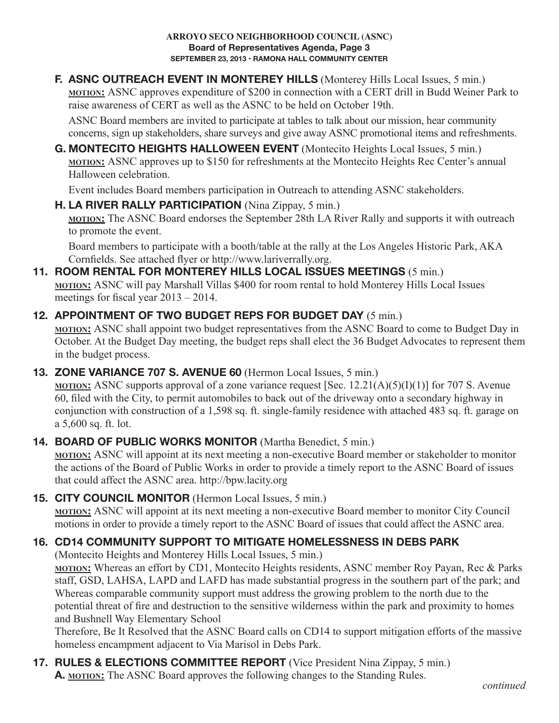**F. ASNC OUTREACH EVENT IN MONTEREY HILLS** (Monterey Hills Local Issues, 5 min.) **motion:** ASNC approves expenditure of \$200 in connection with a CERT drill in Budd Weiner Park to raise awareness of CERT as well as the ASNC to be held on October 19th.

 ASNC Board members are invited to participate at tables to talk about our mission, hear community concerns, sign up stakeholders, share surveys and give away ASNC promotional items and refreshments.

**G. MONTECITO HEIGHTS HALLOWEEN EVENT** (Montecito Heights Local Issues, 5 min.) **MOTION:** ASNC approves up to \$150 for refreshments at the Montecito Heights Rec Center's annual Halloween celebration.

Event includes Board members participation in Outreach to attending ASNC stakeholders.

**H. LA RIVER RALLY PARTICIPATION** (Nina Zippay, 5 min.)

**motion:** The ASNC Board endorses the September 28th LA River Rally and supports it with outreach to promote the event.

 Board members to participate with a booth/table at the rally at the Los Angeles Historic Park, AKA Cornfields. See attached flyer or http://www.lariverrally.org.

#### **11. ROOM RENTAL FOR MONTEREY HILLS LOCAL ISSUES MEETINGS** (5 min.) **motion:** ASNC will pay Marshall Villas \$400 for room rental to hold Monterey Hills Local Issues

meetings for fiscal year 2013 – 2014.

## **12. APPOINTMENT OF TWO BUDGET REPS FOR BUDGET DAY** (5 min.)

**motion:** ASNC shall appoint two budget representatives from the ASNC Board to come to Budget Day in October. At the Budget Day meeting, the budget reps shall elect the 36 Budget Advocates to represent them in the budget process.

## **13. ZONE VARIANCE 707 S. AVENUE 60** (Hermon Local Issues, 5 min.)

**motion**: ASNC supports approval of a zone variance request [Sec. 12.21(A)(5)(I)(1)] for 707 S. Avenue 60, filed with the City, to permit automobiles to back out of the driveway onto a secondary highway in conjunction with construction of a 1,598 sq. ft. single-family residence with attached 483 sq. ft. garage on a 5,600 sq. ft. lot.

## **14. BOARD OF PUBLIC WORKS MONITOR** (Martha Benedict, 5 min.)

**motion:** ASNC will appoint at its next meeting a non-executive Board member or stakeholder to monitor the actions of the Board of Public Works in order to provide a timely report to the ASNC Board of issues that could affect the ASNC area. http://bpw.lacity.org

## **15. CITY COUNCIL MONITOR** (Hermon Local Issues, 5 min.)

**motion:** ASNC will appoint at its next meeting a non-executive Board member to monitor City Council motions in order to provide a timely report to the ASNC Board of issues that could affect the ASNC area.

# **16. CD14 COMMUNITY SUPPORT TO MITIGATE HOMELESSNESS IN DEBS PARK**

(Montecito Heights and Monterey Hills Local Issues, 5 min.)

**motion:** Whereas an effort by CD1, Montecito Heights residents, ASNC member Roy Payan, Rec & Parks staff, GSD, LAHSA, LAPD and LAFD has made substantial progress in the southern part of the park; and Whereas comparable community support must address the growing problem to the north due to the potential threat of fire and destruction to the sensitive wilderness within the park and proximity to homes and Bushnell Way Elementary School

Therefore, Be It Resolved that the ASNC Board calls on CD14 to support mitigation efforts of the massive homeless encampment adjacent to Via Marisol in Debs Park.

## **17. RULES & ELECTIONS COMMITTEE REPORT** (Vice President Nina Zippay, 5 min.) **A. motion:** The ASNC Board approves the following changes to the Standing Rules.

*continued*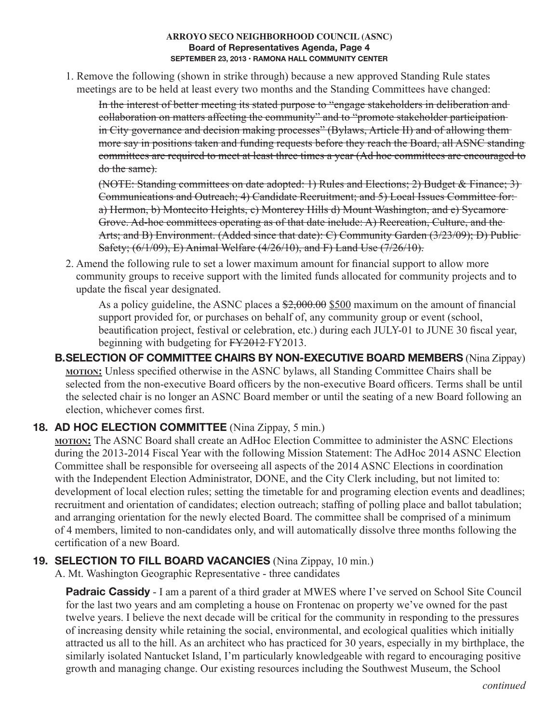#### **ARROYO SECO NEIGHBORHOOD COUNCIL (ASNC) Board of Representatives Agenda, Page 4 SEPTEMBER 23, 2013 • RAMONA HALL COMMUNITY CENTER**

 1. Remove the following (shown in strike through) because a new approved Standing Rule states meetings are to be held at least every two months and the Standing Committees have changed:

 In the interest of better meeting its stated purpose to "engage stakeholders in deliberation and collaboration on matters affecting the community" and to "promote stakeholder participation in City governance and decision making processes" (Bylaws, Article II) and of allowing themmore say in positions taken and funding requests before they reach the Board, all ASNC standing committees are required to meet at least three times a year (Ad hoc committees are encouraged to do the same).

 (NOTE: Standing committees on date adopted: 1) Rules and Elections; 2) Budget & Finance; 3) Communications and Outreach; 4) Candidate Recruitment; and 5) Local Issues Committee for: a) Hermon, b) Montecito Heights, c) Monterey Hills d) Mount Washington, and e) Sycamore Grove. Ad-hoc committees operating as of that date include: A) Recreation, Culture, and the Arts; and B) Environment. (Added since that date): C) Community Garden (3/23/09); D) Public-Safety; (6/1/09), E) Animal Welfare (4/26/10), and F) Land Use (7/26/10).

2. Amend the following rule to set a lower maximum amount for financial support to allow more community groups to receive support with the limited funds allocated for community projects and to update the fiscal year designated.

As a policy guideline, the ASNC places a  $\frac{$2,000.00}{$500}$  maximum on the amount of financial support provided for, or purchases on behalf of, any community group or event (school, beautification project, festival or celebration, etc.) during each JULY-01 to JUNE 30 fiscal year, beginning with budgeting for FY2012 FY2013.

**B. SELECTION OF COMMITTEE CHAIRS BY NON-EXECUTIVE BOARD MEMBERS** (Nina Zippay) **motion:** Unless specified otherwise in the ASNC bylaws, all Standing Committee Chairs shall be selected from the non-executive Board officers by the non-executive Board officers. Terms shall be until the selected chair is no longer an ASNC Board member or until the seating of a new Board following an election, whichever comes first.

## **18. AD HOC ELECTION COMMITTEE** (Nina Zippay, 5 min.)

**motion:** The ASNC Board shall create an AdHoc Election Committee to administer the ASNC Elections during the 2013-2014 Fiscal Year with the following Mission Statement: The AdHoc 2014 ASNC Election Committee shall be responsible for overseeing all aspects of the 2014 ASNC Elections in coordination with the Independent Election Administrator, DONE, and the City Clerk including, but not limited to: development of local election rules; setting the timetable for and programing election events and deadlines; recruitment and orientation of candidates; election outreach; staffing of polling place and ballot tabulation; and arranging orientation for the newly elected Board. The committee shall be comprised of a minimum of 4 members, limited to non-candidates only, and will automatically dissolve three months following the certification of a new Board.

## **19. SELECTION TO FILL BOARD VACANCIES** (Nina Zippay, 10 min.)

A. Mt. Washington Geographic Representative - three candidates

**Padraic Cassidy** - I am a parent of a third grader at MWES where I've served on School Site Council for the last two years and am completing a house on Frontenac on property we've owned for the past twelve years. I believe the next decade will be critical for the community in responding to the pressures of increasing density while retaining the social, environmental, and ecological qualities which initially attracted us all to the hill. As an architect who has practiced for 30 years, especially in my birthplace, the similarly isolated Nantucket Island, I'm particularly knowledgeable with regard to encouraging positive growth and managing change. Our existing resources including the Southwest Museum, the School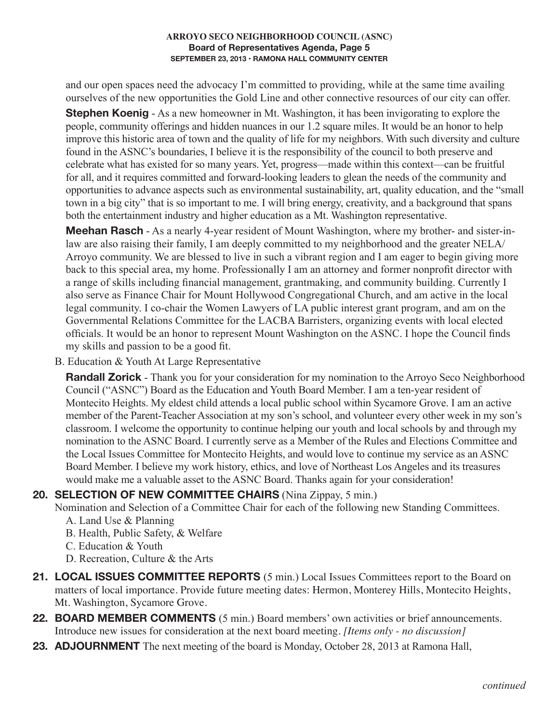#### **ARROYO SECO NEIGHBORHOOD COUNCIL (ASNC) Board of Representatives Agenda, Page 5 SEPTEMBER 23, 2013 • RAMONA HALL COMMUNITY CENTER**

and our open spaces need the advocacy I'm committed to providing, while at the same time availing ourselves of the new opportunities the Gold Line and other connective resources of our city can offer.

**Stephen Koenig** - As a new homeowner in Mt. Washington, it has been invigorating to explore the people, community offerings and hidden nuances in our 1.2 square miles. It would be an honor to help improve this historic area of town and the quality of life for my neighbors. With such diversity and culture found in the ASNC's boundaries, I believe it is the responsibility of the council to both preserve and celebrate what has existed for so many years. Yet, progress—made within this context—can be fruitful for all, and it requires committed and forward-looking leaders to glean the needs of the community and opportunities to advance aspects such as environmental sustainability, art, quality education, and the "small town in a big city" that is so important to me. I will bring energy, creativity, and a background that spans both the entertainment industry and higher education as a Mt. Washington representative.

 **Meehan Rasch** - As a nearly 4-year resident of Mount Washington, where my brother- and sister-inlaw are also raising their family, I am deeply committed to my neighborhood and the greater NELA/ Arroyo community. We are blessed to live in such a vibrant region and I am eager to begin giving more back to this special area, my home. Professionally I am an attorney and former nonprofit director with a range of skills including financial management, grantmaking, and community building. Currently I also serve as Finance Chair for Mount Hollywood Congregational Church, and am active in the local legal community. I co-chair the Women Lawyers of LA public interest grant program, and am on the Governmental Relations Committee for the LACBA Barristers, organizing events with local elected officials. It would be an honor to represent Mount Washington on the ASNC. I hope the Council finds my skills and passion to be a good fit.

B. Education & Youth At Large Representative

**Randall Zorick** - Thank you for your consideration for my nomination to the Arroyo Seco Neighborhood Council ("ASNC") Board as the Education and Youth Board Member. I am a ten-year resident of Montecito Heights. My eldest child attends a local public school within Sycamore Grove. I am an active member of the Parent-Teacher Association at my son's school, and volunteer every other week in my son's classroom. I welcome the opportunity to continue helping our youth and local schools by and through my nomination to the ASNC Board. I currently serve as a Member of the Rules and Elections Committee and the Local Issues Committee for Montecito Heights, and would love to continue my service as an ASNC Board Member. I believe my work history, ethics, and love of Northeast Los Angeles and its treasures would make me a valuable asset to the ASNC Board. Thanks again for your consideration!

### **20. SELECTION OF NEW COMMITTEE CHAIRS** (Nina Zippay, 5 min.)

Nomination and Selection of a Committee Chair for each of the following new Standing Committees.

- A. Land Use & Planning
- B. Health, Public Safety, & Welfare
- C. Education & Youth
- D. Recreation, Culture & the Arts
- **21. LOCAL ISSUES COMMITTEE REPORTS** (5 min.) Local Issues Committees report to the Board on matters of local importance. Provide future meeting dates: Hermon, Monterey Hills, Montecito Heights, Mt. Washington, Sycamore Grove.
- **22. BOARD MEMBER COMMENTS** (5 min.) Board members' own activities or brief announcements. Introduce new issues for consideration at the next board meeting. *[Items only - no discussion]*
- **23. ADJOURNMENT** The next meeting of the board is Monday, October 28, 2013 at Ramona Hall,